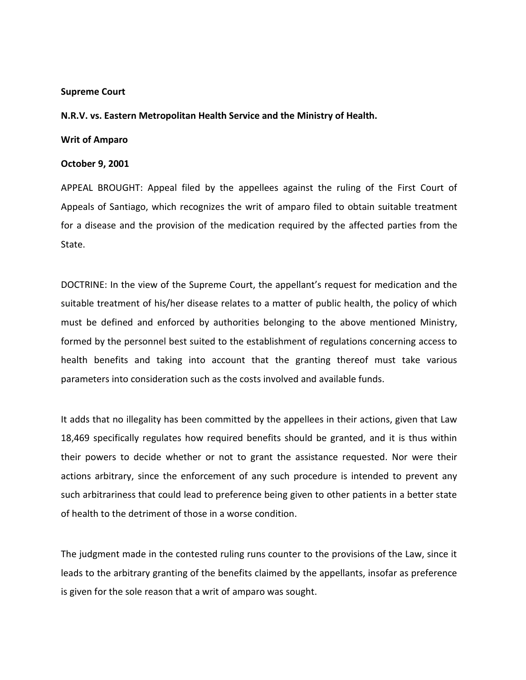#### **Supreme Court**

# **N.R.V. vs. Eastern Metropolitan Health Service and the Ministry of Health.**

# **Writ of Amparo**

# **October 9, 2001**

APPEAL BROUGHT: Appeal filed by the appellees against the ruling of the First Court of Appeals of Santiago, which recognizes the writ of amparo filed to obtain suitable treatment for a disease and the provision of the medication required by the affected parties from the State.

DOCTRINE: In the view of the Supreme Court, the appellant's request for medication and the suitable treatment of his/her disease relates to a matter of public health, the policy of which must be defined and enforced by authorities belonging to the above mentioned Ministry, formed by the personnel best suited to the establishment of regulations concerning access to health benefits and taking into account that the granting thereof must take various parameters into consideration such as the costs involved and available funds.

It adds that no illegality has been committed by the appellees in their actions, given that Law 18,469 specifically regulates how required benefits should be granted, and it is thus within their powers to decide whether or not to grant the assistance requested. Nor were their actions arbitrary, since the enforcement of any such procedure is intended to prevent any such arbitrariness that could lead to preference being given to other patients in a better state of health to the detriment of those in a worse condition.

The judgment made in the contested ruling runs counter to the provisions of the Law, since it leads to the arbitrary granting of the benefits claimed by the appellants, insofar as preference is given for the sole reason that a writ of amparo was sought.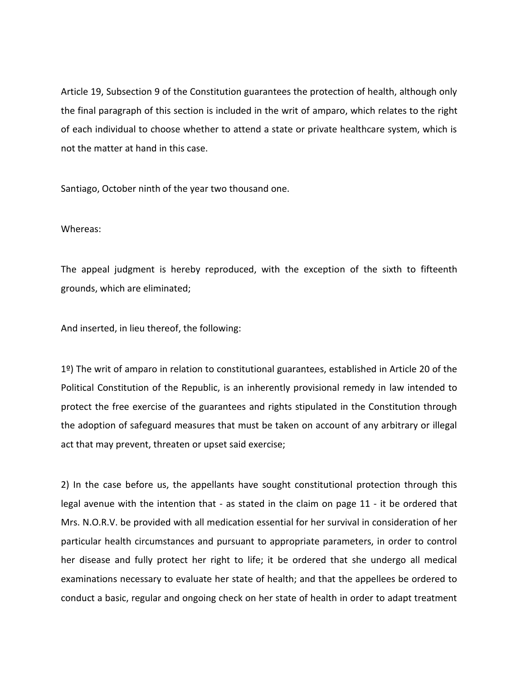Article 19, Subsection 9 of the Constitution guarantees the protection of health, although only the final paragraph of this section is included in the writ of amparo, which relates to the right of each individual to choose whether to attend a state or private healthcare system, which is not the matter at hand in this case.

Santiago, October ninth of the year two thousand one.

# Whereas:

The appeal judgment is hereby reproduced, with the exception of the sixth to fifteenth grounds, which are eliminated;

And inserted, in lieu thereof, the following:

1º) The writ of amparo in relation to constitutional guarantees, established in Article 20 of the Political Constitution of the Republic, is an inherently provisional remedy in law intended to protect the free exercise of the guarantees and rights stipulated in the Constitution through the adoption of safeguard measures that must be taken on account of any arbitrary or illegal act that may prevent, threaten or upset said exercise;

2) In the case before us, the appellants have sought constitutional protection through this legal avenue with the intention that - as stated in the claim on page 11 - it be ordered that Mrs. N.O.R.V. be provided with all medication essential for her survival in consideration of her particular health circumstances and pursuant to appropriate parameters, in order to control her disease and fully protect her right to life; it be ordered that she undergo all medical examinations necessary to evaluate her state of health; and that the appellees be ordered to conduct a basic, regular and ongoing check on her state of health in order to adapt treatment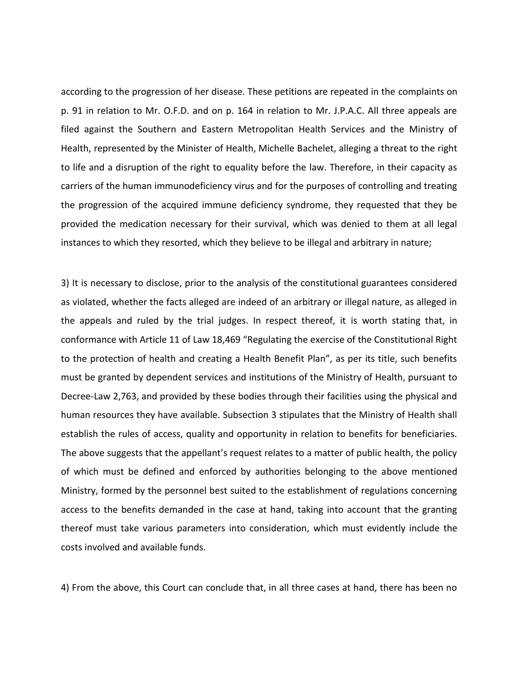according to the progression of her disease. These petitions are repeated in the complaints on p. 91 in relation to Mr. O.F.D. and on p. 164 in relation to Mr. J.P.A.C. All three appeals are filed against the Southern and Eastern Metropolitan Health Services and the Ministry of Health, represented by the Minister of Health, Michelle Bachelet, alleging a threat to the right to life and a disruption of the right to equality before the law. Therefore, in their capacity as carriers of the human immunodeficiency virus and for the purposes of controlling and treating the progression of the acquired immune deficiency syndrome, they requested that they be provided the medication necessary for their survival, which was denied to them at all legal instances to which they resorted, which they believe to be illegal and arbitrary in nature;

3) It is necessary to disclose, prior to the analysis of the constitutional guarantees considered as violated, whether the facts alleged are indeed of an arbitrary or illegal nature, as alleged in the appeals and ruled by the trial judges. In respect thereof, it is worth stating that, in conformance with Article 11 of Law 18,469 "Regulating the exercise of the Constitutional Right to the protection of health and creating a Health Benefit Plan", as per its title, such benefits must be granted by dependent services and institutions of the Ministry of Health, pursuant to Decree-Law 2,763, and provided by these bodies through their facilities using the physical and human resources they have available. Subsection 3 stipulates that the Ministry of Health shall establish the rules of access, quality and opportunity in relation to benefits for beneficiaries. The above suggests that the appellant's request relates to a matter of public health, the policy of which must be defined and enforced by authorities belonging to the above mentioned Ministry, formed by the personnel best suited to the establishment of regulations concerning access to the benefits demanded in the case at hand, taking into account that the granting thereof must take various parameters into consideration, which must evidently include the costs involved and available funds.

4) From the above, this Court can conclude that, in all three cases at hand, there has been no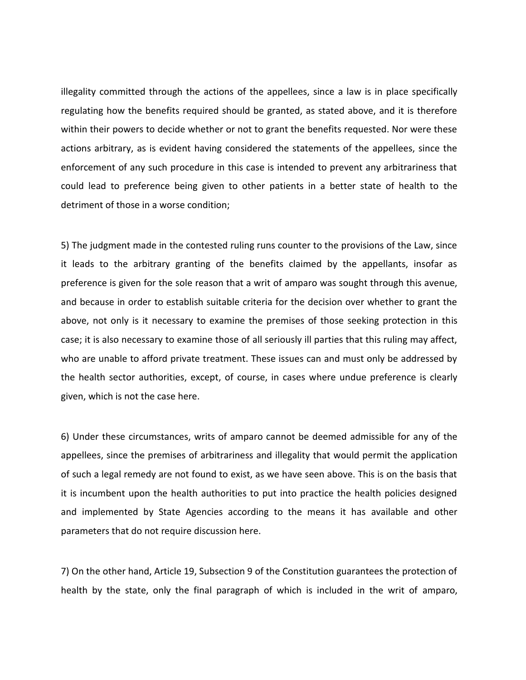illegality committed through the actions of the appellees, since a law is in place specifically regulating how the benefits required should be granted, as stated above, and it is therefore within their powers to decide whether or not to grant the benefits requested. Nor were these actions arbitrary, as is evident having considered the statements of the appellees, since the enforcement of any such procedure in this case is intended to prevent any arbitrariness that could lead to preference being given to other patients in a better state of health to the detriment of those in a worse condition;

5) The judgment made in the contested ruling runs counter to the provisions of the Law, since it leads to the arbitrary granting of the benefits claimed by the appellants, insofar as preference is given for the sole reason that a writ of amparo was sought through this avenue, and because in order to establish suitable criteria for the decision over whether to grant the above, not only is it necessary to examine the premises of those seeking protection in this case; it is also necessary to examine those of all seriously ill parties that this ruling may affect, who are unable to afford private treatment. These issues can and must only be addressed by the health sector authorities, except, of course, in cases where undue preference is clearly given, which is not the case here.

6) Under these circumstances, writs of amparo cannot be deemed admissible for any of the appellees, since the premises of arbitrariness and illegality that would permit the application of such a legal remedy are not found to exist, as we have seen above. This is on the basis that it is incumbent upon the health authorities to put into practice the health policies designed and implemented by State Agencies according to the means it has available and other parameters that do not require discussion here.

7) On the other hand, Article 19, Subsection 9 of the Constitution guarantees the protection of health by the state, only the final paragraph of which is included in the writ of amparo,